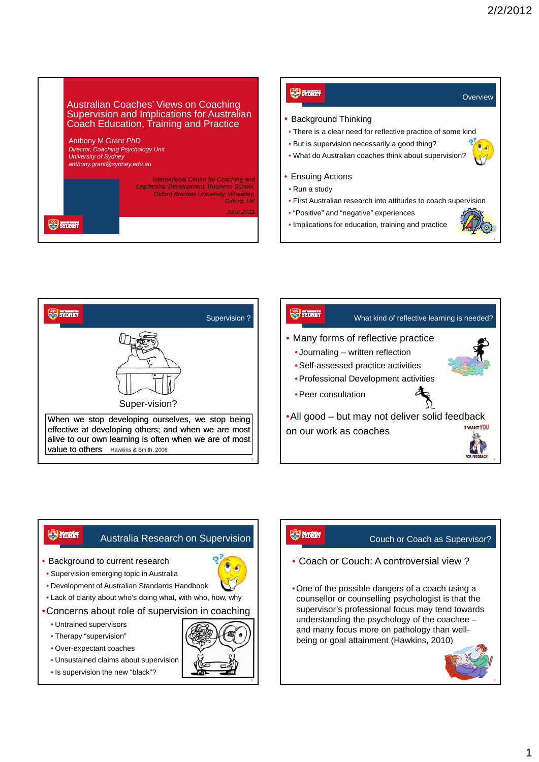







- Unsustained claims about supervision
- Is supervision the new "black"?

# **SYDNEY**

## Couch or Coach as Supervisor?

- Coach or Couch: A controversial view ?
- •One of the possible dangers of a coach using a counsellor or counselling psychologist is that the supervisor's professional focus may tend towards understanding the psychology of the coachee – and many focus more on pathology than wellbeing or goal attainment (Hawkins, 2010)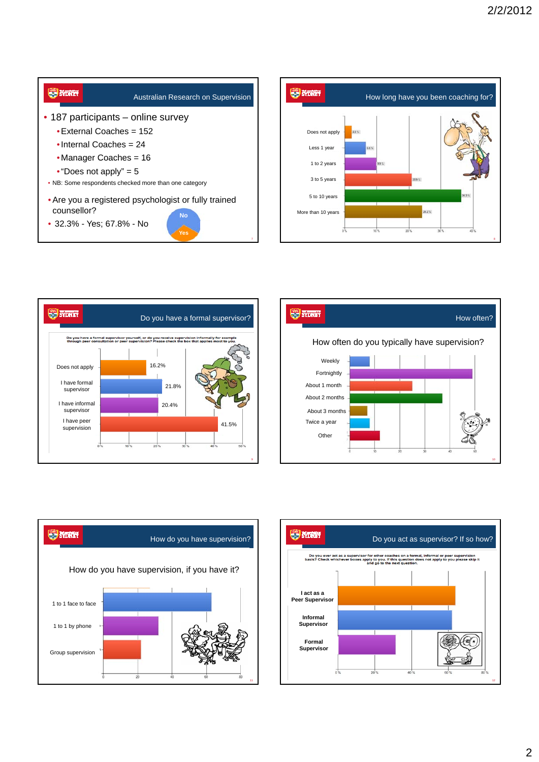









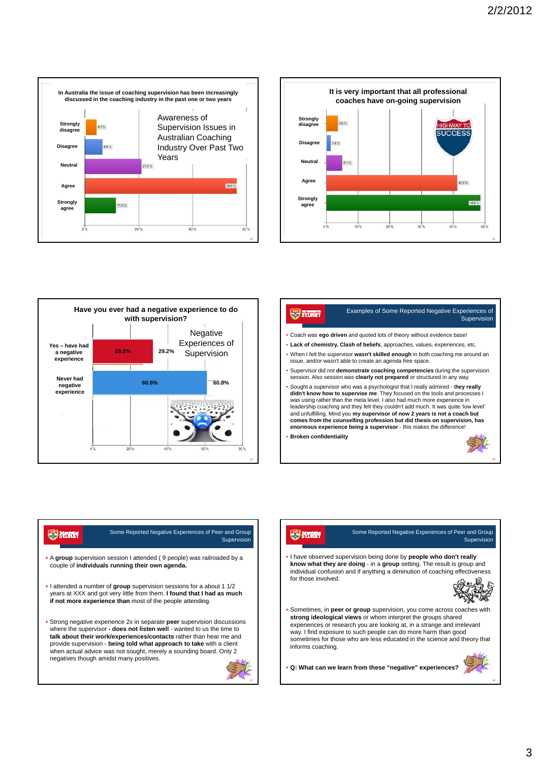





#### Examples of Some Reported Negative Experiences of **SYDNEY** Supervision

- Coach was **ego driven** and quoted lots of theory without evidence base!
- **Lack of chemistry. Clash of beliefs**, approaches, values, experiences, etc. • When I felt the supervisor **wasn't skilled enough** in both coaching me around an issue, and/or wasn't able to create an agenda free space.
- Supervisor did not **demonstrate coaching competencies** during the supervision session. Also session was **clearly not prepared** or structured in any way.
- Sought a supervisor who was a psychologist that I really admired t**hey really didn't know how to supervise me**. They focused on the tools and processes I was using rather than the meta level. I also had much more experience in leadership coaching and they felt they couldn't add much. It was quite 'low level'<br>and unfulfilling. Mind you **my supervisor of now 2 years is not a coach but**<br>comes from the counselling profession but did thesis on superv **enormous experience being a supervisor** - this makes the difference!
- **Broken confidentiality**



16

# Some Reported Negative Experiences of Peer and Group **SONT** Supervision

- A **group** supervision session I attended ( 9 people) was railroaded by a couple of **individuals running their own agenda.**
- I attended a number of **group** supervision sessions for a about 1 1/2 years at XXX and got very little from them. **I found that I had as much if not more experience than** most of the people attending.
- Strong negative experience 2x in separate **peer** supervision discussions where the supervisor **- does not listen well** - wanted to us the time to **talk about their work/experiences/contacts** rather than hear me and provide supervision - **being told what approach to take** with a client when actual advice was not sought, merely a sounding board. Only 2 negatives though amidst many positives.



### Some Reported Negative Experiences of Peer and Group **SONT Supervision** • I have observed supervision being done by **people who don't really**

**know what they are doing** - in a **group** setting. The result is group and individual confusion and if anything a diminution of coaching effectiveness for those involved.



• Sometimes, in **peer or group** supervision, you come across coaches with **strong ideological views** or whom interpret the groups shared experiences or research you are looking at, in a strange and irrelevant way. I find exposure to such people can do more harm than good sometimes for those who are less educated in the science and theory that informs coaching.

• **Q: What can we learn from these "negative" experiences?**



18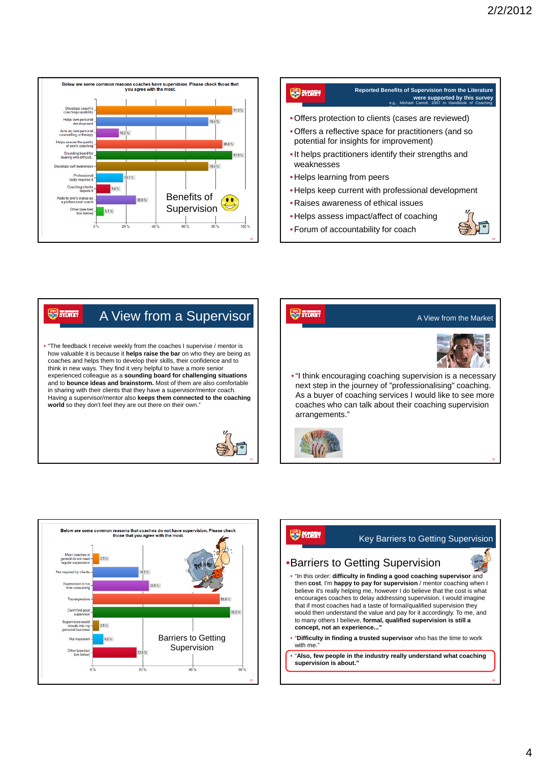20



## **Reported Benefits of Supervision from the Literature STOREY were supported by this survey** e.g., Michael Carroll, 2007 in Handbook of Coaching Psychology • Offers protection to clients (cases are reviewed) • Offers a reflective space for practitioners (and so potential for insights for improvement) •It helps practitioners identify their strengths and weaknesses • Helps learning from peers • Helps keep current with professional development • Raises awareness of ethical issues • Helps assess impact/affect of coaching

• Forum of accountability for coach



• "The feedback I receive weekly from the coaches I supervise / mentor is how valuable it is because it **helps raise the bar** on who they are being as coaches and helps them to develop their skills, their confidence and to think in new ways. They find it very helpful to have a more senior experienced colleague as a **sounding board for challenging situations**  and to **bounce ideas and brainstorm.** Most of them are also comfortable in sharing with their clients that they have a supervisor/mentor coach. Having a supervisor/mentor also **keeps them connected to the coaching world** so they don't feel they are out there on their own."







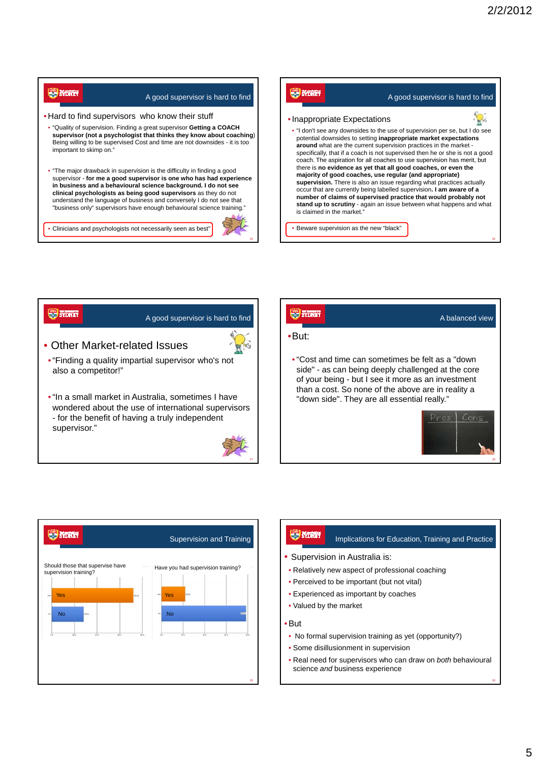26

28

30



# **SP SYDNEY** A good supervisor is hard to find • Other Market-related Issues



•"Finding a quality impartial supervisor who's not also a competitor!"

•"In a small market in Australia, sometimes I have wondered about the use of international supervisors - for the benefit of having a truly independent supervisor."



# **SYDNEY** A balanced view •But: • "Cost and time can sometimes be felt as a "down side" - as can being deeply challenged at the core of your being - but I see it more as an investment than a cost. So none of the above are in reality a "down side". They are all essential really." Pros  $Con<$



| <b>SYDRUS</b><br>Implications for Education, Training and Practice                              |  |  |  |
|-------------------------------------------------------------------------------------------------|--|--|--|
| • Supervision in Australia is:                                                                  |  |  |  |
| • Relatively new aspect of professional coaching                                                |  |  |  |
| • Perceived to be important (but not vital)                                                     |  |  |  |
| • Experienced as important by coaches                                                           |  |  |  |
| • Valued by the market                                                                          |  |  |  |
| $\bullet$ But                                                                                   |  |  |  |
| • No formal supervision training as yet (opportunity?)                                          |  |  |  |
| • Some disillusionment in supervision                                                           |  |  |  |
| • Real need for supervisors who can draw on both behavioural<br>science and business experience |  |  |  |